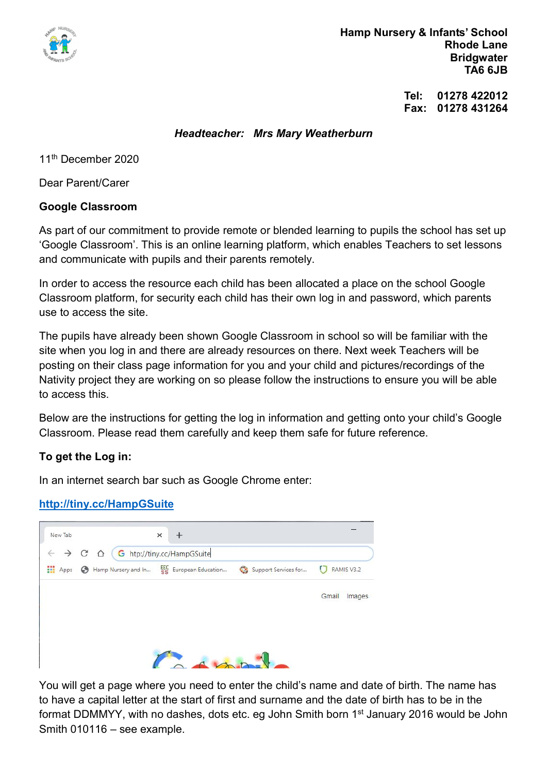

 Hamp Nursery & Infants' School Rhode Lane **Bridgwater** TA6 6JB

> Tel: 01278 422012 Fax: 01278 431264

#### Headteacher: Mrs Mary Weatherburn

11th December 2020

Dear Parent/Carer

### Google Classroom

As part of our commitment to provide remote or blended learning to pupils the school has set up 'Google Classroom'. This is an online learning platform, which enables Teachers to set lessons and communicate with pupils and their parents remotely.

In order to access the resource each child has been allocated a place on the school Google Classroom platform, for security each child has their own log in and password, which parents use to access the site.

The pupils have already been shown Google Classroom in school so will be familiar with the site when you log in and there are already resources on there. Next week Teachers will be posting on their class page information for you and your child and pictures/recordings of the Nativity project they are working on so please follow the instructions to ensure you will be able to access this.

Below are the instructions for getting the log in information and getting onto your child's Google Classroom. Please read them carefully and keep them safe for future reference.

### To get the Log in:

In an internet search bar such as Google Chrome enter:

### http://tiny.cc/HampGSuite

| New Tab   | $\rightarrow$ C $\Omega$ | ×<br>G htp://tiny.cc/HampGSuite            |                      |                  |
|-----------|--------------------------|--------------------------------------------|----------------------|------------------|
| ₩<br>Apps |                          | Hamp Nursery and In EEC European Education | Support Services for | RAMIS V3.2<br>IJ |
|           |                          |                                            |                      | Gmail<br>Images  |
|           |                          |                                            |                      |                  |
|           |                          |                                            |                      |                  |
|           |                          |                                            |                      |                  |

You will get a page where you need to enter the child's name and date of birth. The name has to have a capital letter at the start of first and surname and the date of birth has to be in the format DDMMYY, with no dashes, dots etc. eg John Smith born 1<sup>st</sup> January 2016 would be John Smith 010116 – see example.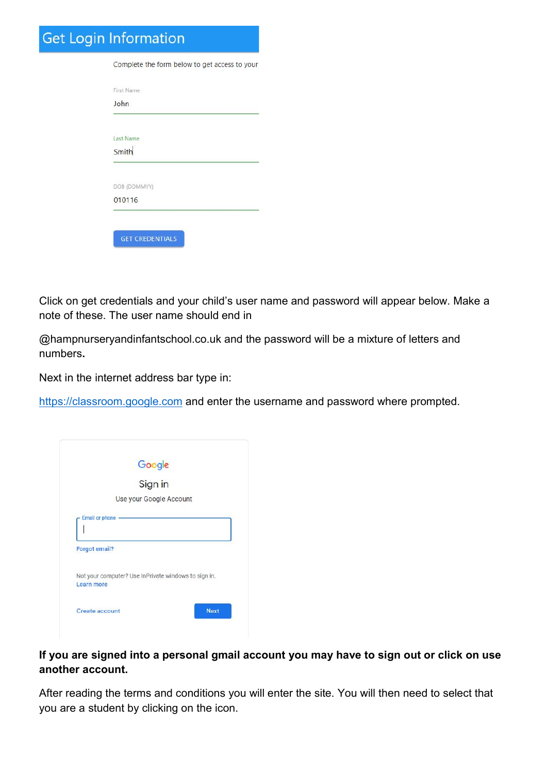# **Get Login Information**

| Complete the form below to get access to your |  |
|-----------------------------------------------|--|
| First Name                                    |  |
| John                                          |  |
|                                               |  |
| Last Name                                     |  |
| Smith                                         |  |
|                                               |  |
| DOB (DDMMYY)                                  |  |
| 010116                                        |  |

Click on get credentials and your child's user name and password will appear below. Make a note of these. The user name should end in

@hampnurseryandinfantschool.co.uk and the password will be a mixture of letters and numbers.

Next in the internet address bar type in:

https://classroom.google.com and enter the username and password where prompted.

|                      | Google                                               |
|----------------------|------------------------------------------------------|
|                      | Sign in                                              |
|                      | Use your Google Account                              |
|                      | <b>Email or phone</b>                                |
| <b>Forgot email?</b> |                                                      |
| Learn more           | Not your computer? Use InPrivate windows to sign in. |

## If you are signed into a personal gmail account you may have to sign out or click on use another account.

After reading the terms and conditions you will enter the site. You will then need to select that you are a student by clicking on the icon.